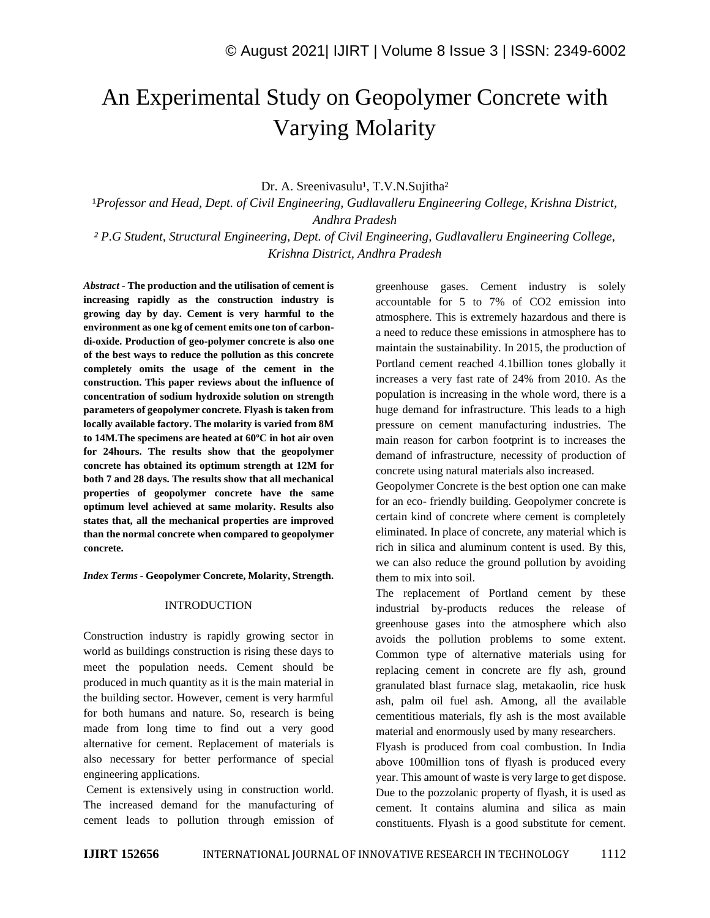# An Experimental Study on Geopolymer Concrete with Varying Molarity

Dr. A. Sreenivasulu<sup>1</sup>, T.V.N.Sujitha<sup>2</sup>

<sup>1</sup>Professor and Head, Dept. of Civil Engineering, Gudlavalleru Engineering College, Krishna District, *Andhra Pradesh ² P.G Student, Structural Engineering, Dept. of Civil Engineering, Gudlavalleru Engineering College,* 

*Krishna District, Andhra Pradesh*

*Abstract -* **The production and the utilisation of cement is increasing rapidly as the construction industry is growing day by day. Cement is very harmful to the environment as one kg of cement emits one ton of carbondi-oxide. Production of geo-polymer concrete is also one of the best ways to reduce the pollution as this concrete completely omits the usage of the cement in the construction. This paper reviews about the influence of concentration of sodium hydroxide solution on strength parameters of geopolymer concrete. Flyash is taken from locally available factory. The molarity is varied from 8M to 14M.The specimens are heated at 60ºC in hot air oven for 24hours. The results show that the geopolymer concrete has obtained its optimum strength at 12M for both 7 and 28 days. The results show that all mechanical properties of geopolymer concrete have the same optimum level achieved at same molarity. Results also states that, all the mechanical properties are improved than the normal concrete when compared to geopolymer concrete.**

*Index Terms -* **Geopolymer Concrete, Molarity, Strength.**

### INTRODUCTION

Construction industry is rapidly growing sector in world as buildings construction is rising these days to meet the population needs. Cement should be produced in much quantity as it is the main material in the building sector. However, cement is very harmful for both humans and nature. So, research is being made from long time to find out a very good alternative for cement. Replacement of materials is also necessary for better performance of special engineering applications.

Cement is extensively using in construction world. The increased demand for the manufacturing of cement leads to pollution through emission of greenhouse gases. Cement industry is solely accountable for 5 to 7% of CO2 emission into atmosphere. This is extremely hazardous and there is a need to reduce these emissions in atmosphere has to maintain the sustainability. In 2015, the production of Portland cement reached 4.1billion tones globally it increases a very fast rate of 24% from 2010. As the population is increasing in the whole word, there is a huge demand for infrastructure. This leads to a high pressure on cement manufacturing industries. The main reason for carbon footprint is to increases the demand of infrastructure, necessity of production of concrete using natural materials also increased.

Geopolymer Concrete is the best option one can make for an eco- friendly building. Geopolymer concrete is certain kind of concrete where cement is completely eliminated. In place of concrete, any material which is rich in silica and aluminum content is used. By this, we can also reduce the ground pollution by avoiding them to mix into soil.

The replacement of Portland cement by these industrial by-products reduces the release of greenhouse gases into the atmosphere which also avoids the pollution problems to some extent. Common type of alternative materials using for replacing cement in concrete are fly ash, ground granulated blast furnace slag, metakaolin, rice husk ash, palm oil fuel ash. Among, all the available cementitious materials, fly ash is the most available material and enormously used by many researchers.

Flyash is produced from coal combustion. In India above 100million tons of flyash is produced every year. This amount of waste is very large to get dispose. Due to the pozzolanic property of flyash, it is used as cement. It contains alumina and silica as main constituents. Flyash is a good substitute for cement.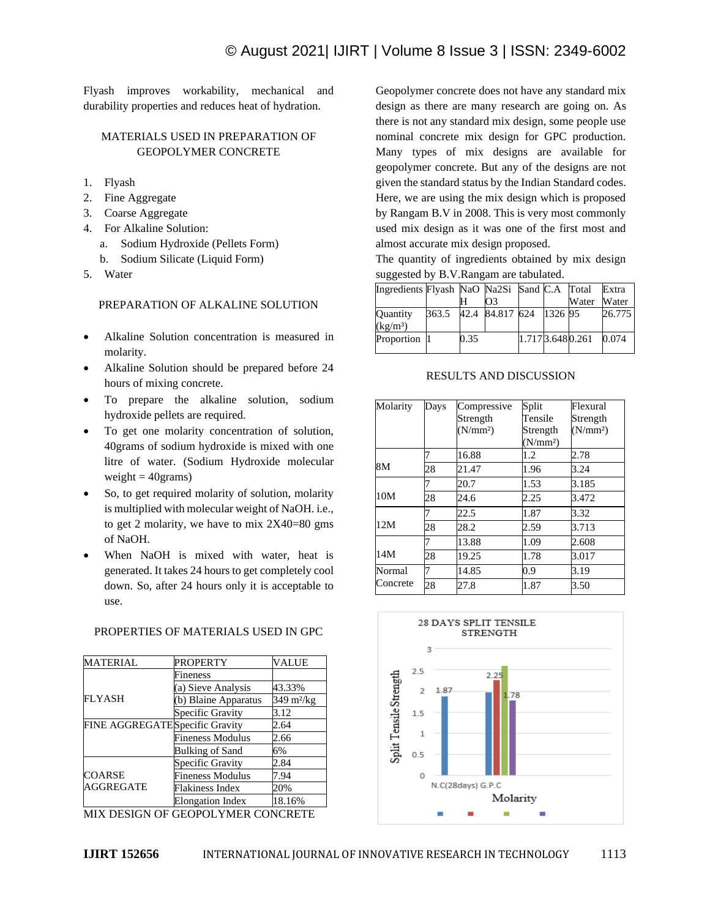Flyash improves workability, mechanical and durability properties and reduces heat of hydration.

# MATERIALS USED IN PREPARATION OF GEOPOLYMER CONCRETE

- 1. Flyash
- 2. Fine Aggregate
- 3. Coarse Aggregate
- 4. For Alkaline Solution:
	- a. Sodium Hydroxide (Pellets Form)
	- b. Sodium Silicate (Liquid Form)
- 5. Water

# PREPARATION OF ALKALINE SOLUTION

- Alkaline Solution concentration is measured in molarity.
- Alkaline Solution should be prepared before 24 hours of mixing concrete.
- To prepare the alkaline solution, sodium hydroxide pellets are required.
- To get one molarity concentration of solution, 40grams of sodium hydroxide is mixed with one litre of water. (Sodium Hydroxide molecular weight  $=$  40 $grams$ )
- So, to get required molarity of solution, molarity is multiplied with molecular weight of NaOH. i.e., to get 2 molarity, we have to mix  $2X40=80$  gms of NaOH.
- When NaOH is mixed with water, heat is generated. It takes 24 hours to get completely cool down. So, after 24 hours only it is acceptable to use.

PROPERTIES OF MATERIALS USED IN GPC

#### MATERIAL PROPERTY VALUE FLYASH Fineness (a) Sieve Analysis 43.33% (b) Blaine Apparatus 349 m²/kg Specific Gravity 3.12 FINE AGGREGATESpecific Gravity 2.64 Fineness Modulus 2.66 Bulking of Sand 6% COARSE AGGREGATE Specific Gravity 2.84 Fineness Modulus 7.94 Flakiness Index 20% Elongation Index 18.16%

MIX DESIGN OF GEOPOLYMER CONCRETE

Geopolymer concrete does not have any standard mix design as there are many research are going on. As there is not any standard mix design, some people use nominal concrete mix design for GPC production. Many types of mix designs are available for geopolymer concrete. But any of the designs are not given the standard status by the Indian Standard codes. Here, we are using the mix design which is proposed by Rangam B.V in 2008. This is very most commonly used mix design as it was one of the first most and almost accurate mix design proposed.

The quantity of ingredients obtained by mix design suggested by B.V.Rangam are tabulated.

| Ingredients Flyash NaO Na2Si Sand C.A Total |       |      |                         |                 |       | Extra  |
|---------------------------------------------|-------|------|-------------------------|-----------------|-------|--------|
|                                             |       |      | Ю3                      |                 | Water | Water  |
| <b>Ouantity</b>                             | 363.5 |      | 42.4 84.817 624 1326 95 |                 |       | 26.775 |
| (kg/m <sup>3</sup> )                        |       |      |                         |                 |       |        |
| Proportion 1                                |       | 0.35 |                         | 1.7173.6480.261 |       | 0.074  |

# RESULTS AND DISCUSSION

| Molarity | Days | Compressive          | Split                | Flexural             |  |
|----------|------|----------------------|----------------------|----------------------|--|
|          |      | Strength             | Tensile              | Strength             |  |
|          |      | (N/mm <sup>2</sup> ) | Strength             | (N/mm <sup>2</sup> ) |  |
|          |      |                      | (N/mm <sup>2</sup> ) |                      |  |
|          |      | 16.88                | 1.2                  | 2.78                 |  |
| 8M       | 28   | 21.47                | 1.96                 | 3.24                 |  |
|          |      | 20.7                 | 1.53                 | 3.185                |  |
| 10M      | 28   | 24.6                 | 2.25                 | 3.472                |  |
|          |      | 22.5                 | 1.87                 | 3.32                 |  |
| 12M      | 28   | 28.2                 | 2.59                 | 3.713                |  |
|          |      | 13.88                | 1.09                 | 2.608                |  |
| 14M      | 28   | 19.25                | 1.78                 | 3.017                |  |
| Normal   |      | 14.85                | 0.9                  | 3.19                 |  |
| Concrete | 28   | 27.8                 | 1.87                 | 3.50                 |  |

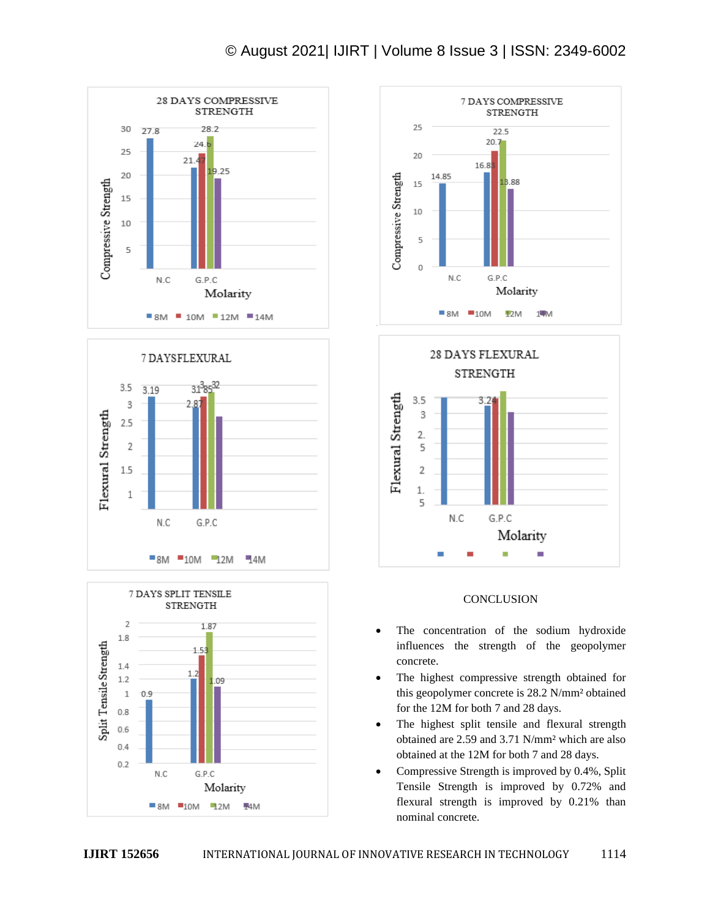# © August 2021| IJIRT | Volume 8 Issue 3 | ISSN: 2349-6002











# **CONCLUSION**

- The concentration of the sodium hydroxide influences the strength of the geopolymer concrete.
- The highest compressive strength obtained for this geopolymer concrete is 28.2 N/mm² obtained for the 12M for both 7 and 28 days.
- The highest split tensile and flexural strength obtained are 2.59 and 3.71 N/mm² which are also obtained at the 12M for both 7 and 28 days.
- Compressive Strength is improved by 0.4%, Split Tensile Strength is improved by 0.72% and flexural strength is improved by 0.21% than nominal concrete.